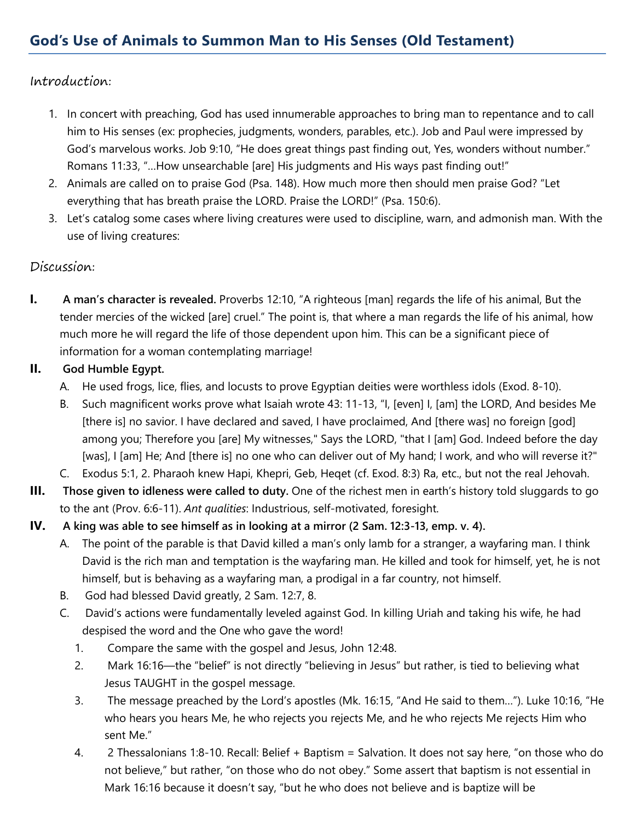## Introduction:

- 1. In concert with preaching, God has used innumerable approaches to bring man to repentance and to call him to His senses (ex: prophecies, judgments, wonders, parables, etc.). Job and Paul were impressed by God's marvelous works. Job 9:10, "He does great things past finding out, Yes, wonders without number." Romans 11:33, "…How unsearchable [are] His judgments and His ways past finding out!"
- 2. Animals are called on to praise God (Psa. 148). How much more then should men praise God? "Let everything that has breath praise the LORD. Praise the LORD!" (Psa. 150:6).
- 3. Let's catalog some cases where living creatures were used to discipline, warn, and admonish man. With the use of living creatures:

## Discussion:

**I. A man's character is revealed.** Proverbs 12:10, "A righteous [man] regards the life of his animal, But the tender mercies of the wicked [are] cruel." The point is, that where a man regards the life of his animal, how much more he will regard the life of those dependent upon him. This can be a significant piece of information for a woman contemplating marriage!

### **II. God Humble Egypt.**

- A. He used frogs, lice, flies, and locusts to prove Egyptian deities were worthless idols (Exod. 8-10).
- B. Such magnificent works prove what Isaiah wrote 43: 11-13, "I, [even] I, [am] the LORD, And besides Me [there is] no savior. I have declared and saved, I have proclaimed, And [there was] no foreign [god] among you; Therefore you [are] My witnesses," Says the LORD, "that I [am] God. Indeed before the day [was], I [am] He; And [there is] no one who can deliver out of My hand; I work, and who will reverse it?"
- C. Exodus 5:1, 2. Pharaoh knew Hapi, Khepri, Geb, Heqet (cf. Exod. 8:3) Ra, etc., but not the real Jehovah.
- **III. Those given to idleness were called to duty.** One of the richest men in earth's history told sluggards to go to the ant (Prov. 6:6-11). *Ant qualities*: Industrious, self-motivated, foresight.
- **IV. A king was able to see himself as in looking at a mirror (2 Sam. 12:3-13, emp. v. 4).**
	- A. The point of the parable is that David killed a man's only lamb for a stranger, a wayfaring man. I think David is the rich man and temptation is the wayfaring man. He killed and took for himself, yet, he is not himself, but is behaving as a wayfaring man, a prodigal in a far country, not himself.
	- B. God had blessed David greatly, 2 Sam. 12:7, 8.
	- C. David's actions were fundamentally leveled against God. In killing Uriah and taking his wife, he had despised the word and the One who gave the word!
		- 1. Compare the same with the gospel and Jesus, John 12:48.
		- 2. Mark 16:16—the "belief" is not directly "believing in Jesus" but rather, is tied to believing what Jesus TAUGHT in the gospel message.
		- 3. The message preached by the Lord's apostles (Mk. 16:15, "And He said to them…"). Luke 10:16, "He who hears you hears Me, he who rejects you rejects Me, and he who rejects Me rejects Him who sent Me."
		- 4. 2 Thessalonians 1:8-10. Recall: Belief + Baptism = Salvation. It does not say here, "on those who do not believe," but rather, "on those who do not obey." Some assert that baptism is not essential in Mark 16:16 because it doesn't say, "but he who does not believe and is baptize will be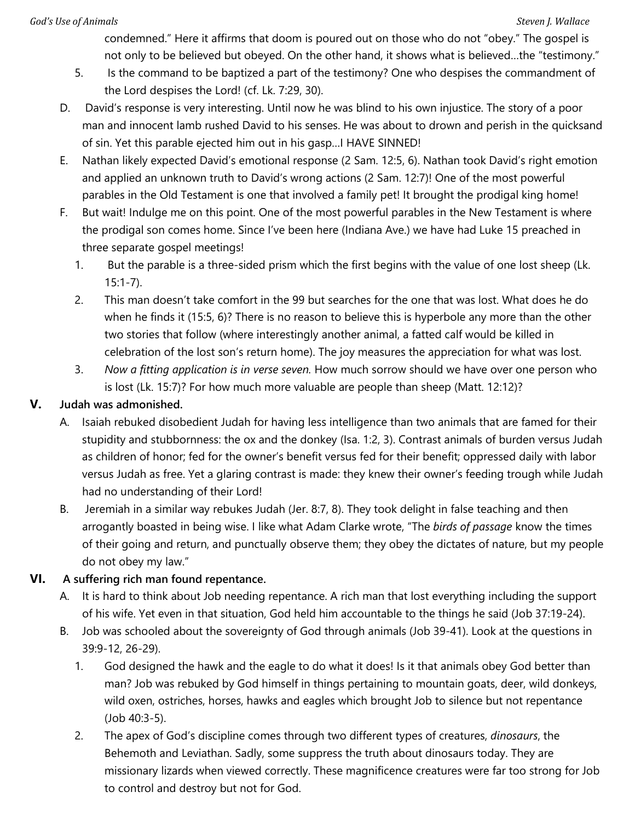condemned." Here it affirms that doom is poured out on those who do not "obey." The gospel is not only to be believed but obeyed. On the other hand, it shows what is believed…the "testimony."

- 5. Is the command to be baptized a part of the testimony? One who despises the commandment of the Lord despises the Lord! (cf. Lk. 7:29, 30).
- D. David's response is very interesting. Until now he was blind to his own injustice. The story of a poor man and innocent lamb rushed David to his senses. He was about to drown and perish in the quicksand of sin. Yet this parable ejected him out in his gasp…I HAVE SINNED!
- E. Nathan likely expected David's emotional response (2 Sam. 12:5, 6). Nathan took David's right emotion and applied an unknown truth to David's wrong actions (2 Sam. 12:7)! One of the most powerful parables in the Old Testament is one that involved a family pet! It brought the prodigal king home!
- F. But wait! Indulge me on this point. One of the most powerful parables in the New Testament is where the prodigal son comes home. Since I've been here (Indiana Ave.) we have had Luke 15 preached in three separate gospel meetings!
	- 1. But the parable is a three-sided prism which the first begins with the value of one lost sheep (Lk. 15:1-7).
	- 2. This man doesn't take comfort in the 99 but searches for the one that was lost. What does he do when he finds it (15:5, 6)? There is no reason to believe this is hyperbole any more than the other two stories that follow (where interestingly another animal, a fatted calf would be killed in celebration of the lost son's return home). The joy measures the appreciation for what was lost.
	- 3. *Now a fitting application is in verse seven.* How much sorrow should we have over one person who is lost (Lk. 15:7)? For how much more valuable are people than sheep (Matt. 12:12)?

# **V. Judah was admonished.**

- A. Isaiah rebuked disobedient Judah for having less intelligence than two animals that are famed for their stupidity and stubbornness: the ox and the donkey (Isa. 1:2, 3). Contrast animals of burden versus Judah as children of honor; fed for the owner's benefit versus fed for their benefit; oppressed daily with labor versus Judah as free. Yet a glaring contrast is made: they knew their owner's feeding trough while Judah had no understanding of their Lord!
- B. Jeremiah in a similar way rebukes Judah (Jer. 8:7, 8). They took delight in false teaching and then arrogantly boasted in being wise. I like what Adam Clarke wrote, "The *birds of passage* know the times of their going and return, and punctually observe them; they obey the dictates of nature, but my people do not obey my law."

# **VI. A suffering rich man found repentance.**

- A. It is hard to think about Job needing repentance. A rich man that lost everything including the support of his wife. Yet even in that situation, God held him accountable to the things he said (Job 37:19-24).
- B. Job was schooled about the sovereignty of God through animals (Job 39-41). Look at the questions in 39:9-12, 26-29).
	- 1. God designed the hawk and the eagle to do what it does! Is it that animals obey God better than man? Job was rebuked by God himself in things pertaining to mountain goats, deer, wild donkeys, wild oxen, ostriches, horses, hawks and eagles which brought Job to silence but not repentance (Job 40:3-5).
	- 2. The apex of God's discipline comes through two different types of creatures, *dinosaurs*, the Behemoth and Leviathan. Sadly, some suppress the truth about dinosaurs today. They are missionary lizards when viewed correctly. These magnificence creatures were far too strong for Job to control and destroy but not for God.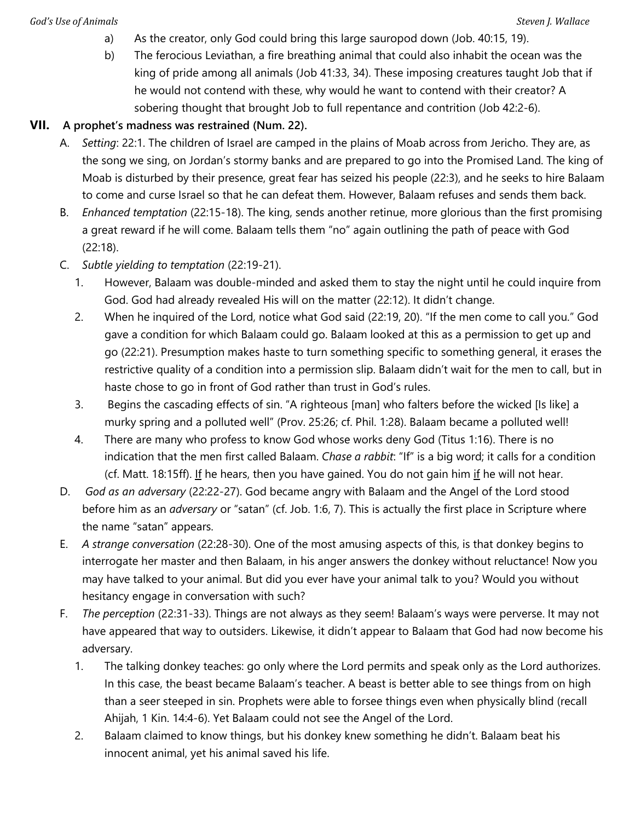- a) As the creator, only God could bring this large sauropod down (Job. 40:15, 19).
- b) The ferocious Leviathan, a fire breathing animal that could also inhabit the ocean was the king of pride among all animals (Job 41:33, 34). These imposing creatures taught Job that if he would not contend with these, why would he want to contend with their creator? A sobering thought that brought Job to full repentance and contrition (Job 42:2-6).

#### **VII. A prophet's madness was restrained (Num. 22).**

- A. *Setting*: 22:1. The children of Israel are camped in the plains of Moab across from Jericho. They are, as the song we sing, on Jordan's stormy banks and are prepared to go into the Promised Land. The king of Moab is disturbed by their presence, great fear has seized his people (22:3), and he seeks to hire Balaam to come and curse Israel so that he can defeat them. However, Balaam refuses and sends them back.
- B. *Enhanced temptation* (22:15-18). The king, sends another retinue, more glorious than the first promising a great reward if he will come. Balaam tells them "no" again outlining the path of peace with God (22:18).
- C. *Subtle yielding to temptation* (22:19-21).
	- 1. However, Balaam was double-minded and asked them to stay the night until he could inquire from God. God had already revealed His will on the matter (22:12). It didn't change.
	- 2. When he inquired of the Lord, notice what God said (22:19, 20). "If the men come to call you." God gave a condition for which Balaam could go. Balaam looked at this as a permission to get up and go (22:21). Presumption makes haste to turn something specific to something general, it erases the restrictive quality of a condition into a permission slip. Balaam didn't wait for the men to call, but in haste chose to go in front of God rather than trust in God's rules.
	- 3. Begins the cascading effects of sin. "A righteous [man] who falters before the wicked [Is like] a murky spring and a polluted well" (Prov. 25:26; cf. Phil. 1:28). Balaam became a polluted well!
	- 4. There are many who profess to know God whose works deny God (Titus 1:16). There is no indication that the men first called Balaam. *Chase a rabbit*: "If" is a big word; it calls for a condition (cf. Matt. 18:15ff). If he hears, then you have gained. You do not gain him if he will not hear.
- D. *God as an adversary* (22:22-27). God became angry with Balaam and the Angel of the Lord stood before him as an *adversary* or "satan" (cf. Job. 1:6, 7). This is actually the first place in Scripture where the name "satan" appears.
- E. *A strange conversation* (22:28-30). One of the most amusing aspects of this, is that donkey begins to interrogate her master and then Balaam, in his anger answers the donkey without reluctance! Now you may have talked to your animal. But did you ever have your animal talk to you? Would you without hesitancy engage in conversation with such?
- F. *The perception* (22:31-33). Things are not always as they seem! Balaam's ways were perverse. It may not have appeared that way to outsiders. Likewise, it didn't appear to Balaam that God had now become his adversary.
	- 1. The talking donkey teaches: go only where the Lord permits and speak only as the Lord authorizes. In this case, the beast became Balaam's teacher. A beast is better able to see things from on high than a seer steeped in sin. Prophets were able to forsee things even when physically blind (recall Ahijah, 1 Kin. 14:4-6). Yet Balaam could not see the Angel of the Lord.
	- 2. Balaam claimed to know things, but his donkey knew something he didn't. Balaam beat his innocent animal, yet his animal saved his life.